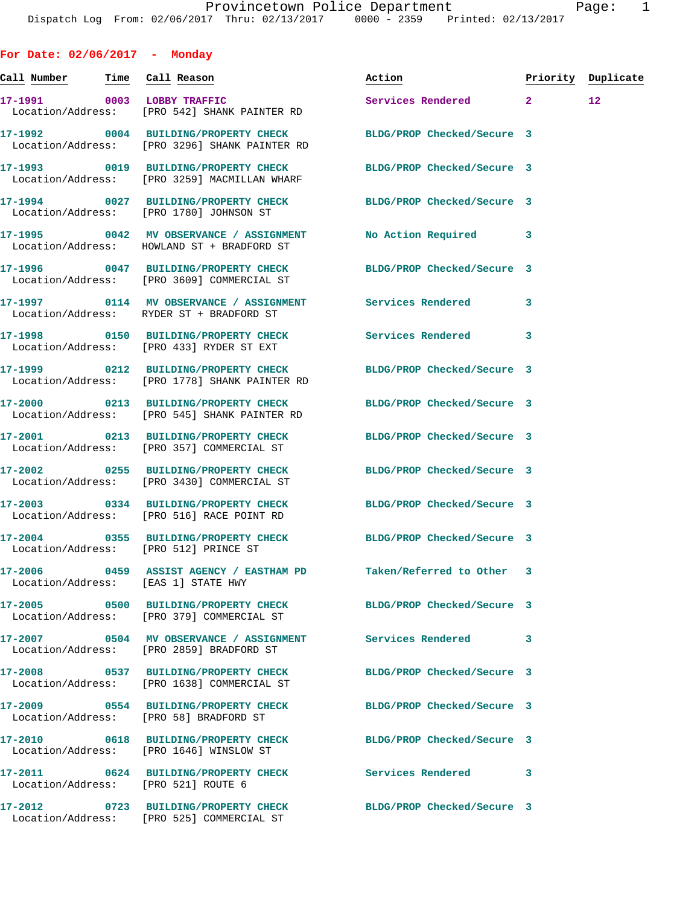**For Date: 02/06/2017 - Monday Call Number Time Call Reason Action Priority Duplicate 17-1991 0003 LOBBY TRAFFIC Services Rendered 2 12**  Location/Address: [PRO 542] SHANK PAINTER RD **17-1992 0004 BUILDING/PROPERTY CHECK BLDG/PROP Checked/Secure 3**  Location/Address: [PRO 3296] SHANK PAINTER RD **17-1993 0019 BUILDING/PROPERTY CHECK BLDG/PROP Checked/Secure 3**  Location/Address: [PRO 3259] MACMILLAN WHARF **17-1994 0027 BUILDING/PROPERTY CHECK BLDG/PROP Checked/Secure 3**  Location/Address: [PRO 1780] JOHNSON ST **17-1995 0042 MV OBSERVANCE / ASSIGNMENT No Action Required 3**  Location/Address: HOWLAND ST + BRADFORD ST **17-1996 0047 BUILDING/PROPERTY CHECK BLDG/PROP Checked/Secure 3**  Location/Address: [PRO 3609] COMMERCIAL ST **17-1997 0114 MV OBSERVANCE / ASSIGNMENT Services Rendered 3**  Location/Address: RYDER ST + BRADFORD ST **17-1998 0150 BUILDING/PROPERTY CHECK Services Rendered 3**  Location/Address: [PRO 433] RYDER ST EXT **17-1999 0212 BUILDING/PROPERTY CHECK BLDG/PROP Checked/Secure 3**  Location/Address: [PRO 1778] SHANK PAINTER RD **17-2000 0213 BUILDING/PROPERTY CHECK BLDG/PROP Checked/Secure 3**  Location/Address: [PRO 545] SHANK PAINTER RD **17-2001 0213 BUILDING/PROPERTY CHECK BLDG/PROP Checked/Secure 3**  Location/Address: [PRO 357] COMMERCIAL ST **17-2002 0255 BUILDING/PROPERTY CHECK BLDG/PROP Checked/Secure 3**  Location/Address: [PRO 3430] COMMERCIAL ST **17-2003 0334 BUILDING/PROPERTY CHECK BLDG/PROP Checked/Secure 3**  Location/Address: [PRO 516] RACE POINT RD **17-2004 0355 BUILDING/PROPERTY CHECK BLDG/PROP Checked/Secure 3**  Location/Address: [PRO 512] PRINCE ST **17-2006 0459 ASSIST AGENCY / EASTHAM PD Taken/Referred to Other 3**  Location/Address: [EAS 1] STATE HWY **17-2005 0500 BUILDING/PROPERTY CHECK BLDG/PROP Checked/Secure 3**  Location/Address: [PRO 379] COMMERCIAL ST **17-2007 0504 MV OBSERVANCE / ASSIGNMENT Services Rendered 3**  Location/Address: [PRO 2859] BRADFORD ST **17-2008 0537 BUILDING/PROPERTY CHECK BLDG/PROP Checked/Secure 3**  Location/Address: [PRO 1638] COMMERCIAL ST **17-2009 0554 BUILDING/PROPERTY CHECK BLDG/PROP Checked/Secure 3**  Location/Address: [PRO 58] BRADFORD ST **17-2010 0618 BUILDING/PROPERTY CHECK BLDG/PROP Checked/Secure 3**  Location/Address: [PRO 1646] WINSLOW ST **17-2011 0624 BUILDING/PROPERTY CHECK Services Rendered 3**  Location/Address:

Location/Address: [PRO 525] COMMERCIAL ST

**17-2012 0723 BUILDING/PROPERTY CHECK BLDG/PROP Checked/Secure 3**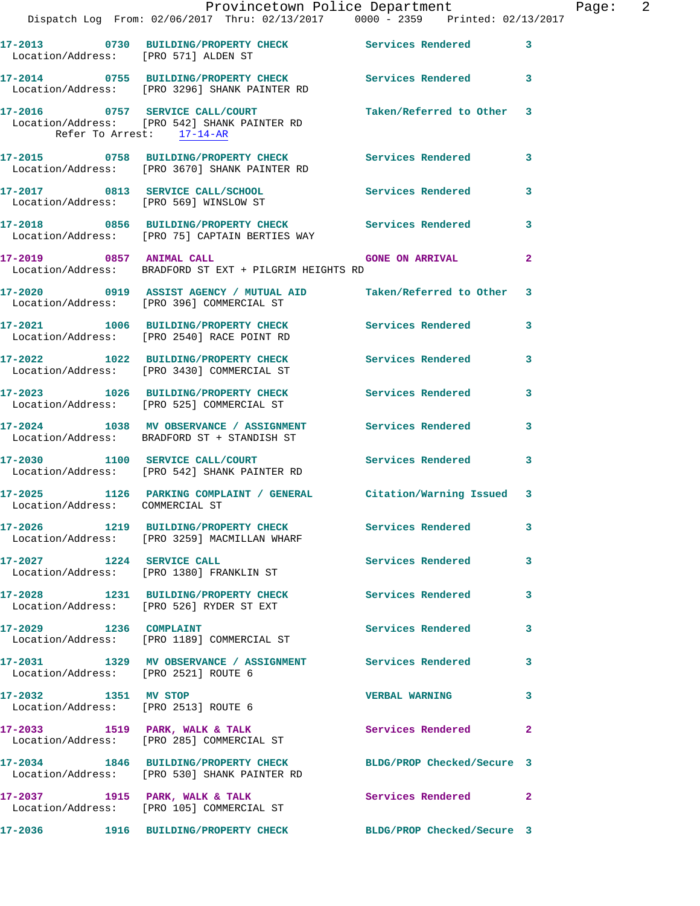|                                                              | Provincetown Police Department Page: 2<br>Dispatch Log From: 02/06/2017 Thru: 02/13/2017 0000 - 2359 Printed: 02/13/2017 |                            |              |
|--------------------------------------------------------------|--------------------------------------------------------------------------------------------------------------------------|----------------------------|--------------|
| Location/Address: [PRO 571] ALDEN ST                         | 17-2013 0730 BUILDING/PROPERTY CHECK Services Rendered 3                                                                 |                            |              |
|                                                              | 17-2014 0755 BUILDING/PROPERTY CHECK Services Rendered 3<br>Location/Address: [PRO 3296] SHANK PAINTER RD                |                            |              |
| Refer To Arrest: 17-14-AR                                    | 17-2016 0757 SERVICE CALL/COURT Taken/Referred to Other 3<br>Location/Address: [PRO 542] SHANK PAINTER RD                |                            |              |
|                                                              | 17-2015 0758 BUILDING/PROPERTY CHECK Services Rendered<br>Location/Address: [PRO 3670] SHANK PAINTER RD                  |                            | $\mathbf{3}$ |
|                                                              | 17-2017 0813 SERVICE CALL/SCHOOL Services Rendered<br>Location/Address: [PRO 569] WINSLOW ST                             |                            | $\mathbf{3}$ |
|                                                              | 17-2018 0856 BUILDING/PROPERTY CHECK Services Rendered<br>Location/Address: [PRO 75] CAPTAIN BERTIES WAY                 |                            | 3            |
|                                                              | 17-2019 0857 ANIMAL CALL CALL GONE ON ARRIVAL<br>Location/Address: BRADFORD ST EXT + PILGRIM HEIGHTS RD                  |                            | $\mathbf{2}$ |
|                                                              | 17-2020 0919 ASSIST AGENCY / MUTUAL AID Taken/Referred to Other 3<br>Location/Address: [PRO 396] COMMERCIAL ST           |                            |              |
|                                                              | 17-2021 1006 BUILDING/PROPERTY CHECK Services Rendered 3<br>Location/Address: [PRO 2540] RACE POINT RD                   |                            |              |
|                                                              | 17-2022 1022 BUILDING/PROPERTY CHECK Services Rendered<br>Location/Address: [PRO 3430] COMMERCIAL ST                     |                            | 3            |
|                                                              | 17-2023 1026 BUILDING/PROPERTY CHECK Services Rendered<br>Location/Address: [PRO 525] COMMERCIAL ST                      |                            | 3            |
|                                                              | 17-2024 1038 MV OBSERVANCE / ASSIGNMENT Services Rendered<br>Location/Address: BRADFORD ST + STANDISH ST                 |                            | 3            |
|                                                              | 17-2030 1100 SERVICE CALL/COURT Services Rendered<br>Location/Address: [PRO 542] SHANK PAINTER RD                        |                            | $\mathbf{3}$ |
| Location/Address: COMMERCIAL ST                              | 17-2025 1126 PARKING COMPLAINT / GENERAL Citation/Warning Issued 3                                                       |                            |              |
|                                                              | 17-2026 1219 BUILDING/PROPERTY CHECK Services Rendered<br>Location/Address: [PRO 3259] MACMILLAN WHARF                   |                            | 3            |
|                                                              | 17-2027 1224 SERVICE CALL<br>Location/Address: [PRO 1380] FRANKLIN ST                                                    | Services Rendered          | 3            |
|                                                              | 17-2028 1231 BUILDING/PROPERTY CHECK<br>Location/Address: [PRO 526] RYDER ST EXT                                         | Services Rendered          | 3            |
|                                                              | 17-2029 1236 COMPLAINT<br>Location/Address: [PRO 1189] COMMERCIAL ST                                                     | <b>Services Rendered</b>   | 3            |
| Location/Address: [PRO 2521] ROUTE 6                         | 17-2031 1329 MV OBSERVANCE / ASSIGNMENT Services Rendered 3                                                              |                            |              |
| 17-2032 1351 MV STOP<br>Location/Address: [PRO 2513] ROUTE 6 |                                                                                                                          | <b>VERBAL WARNING</b>      | 3            |
|                                                              | 17-2033 1519 PARK, WALK & TALK 1998 Services Rendered<br>Location/Address: [PRO 285] COMMERCIAL ST                       |                            | $\mathbf{2}$ |
|                                                              | 17-2034 1846 BUILDING/PROPERTY CHECK BLDG/PROP Checked/Secure 3<br>Location/Address: [PRO 530] SHANK PAINTER RD          |                            |              |
|                                                              | 17-2037 1915 PARK, WALK & TALK<br>Location/Address: [PRO 105] COMMERCIAL ST                                              | Services Rendered          | $\mathbf{2}$ |
|                                                              |                                                                                                                          | BLDG/PROP Checked/Secure 3 |              |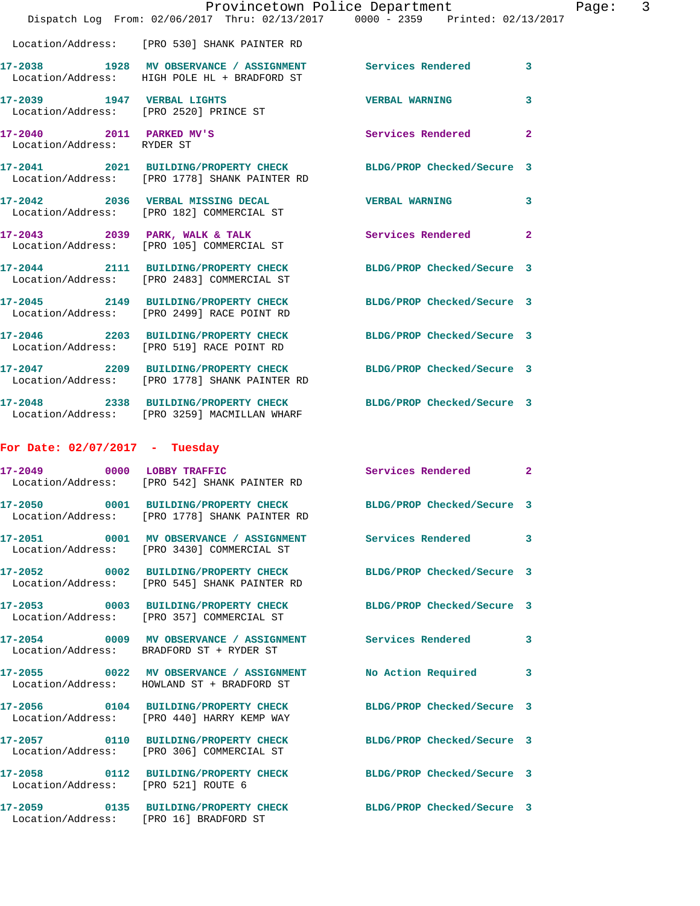|                                                        | Dispatch Log From: 02/06/2017 Thru: 02/13/2017 0000 - 2359 Printed: 02/13/2017                                   | Provincetown Police Department | Page: 3        |
|--------------------------------------------------------|------------------------------------------------------------------------------------------------------------------|--------------------------------|----------------|
|                                                        | Location/Address: [PRO 530] SHANK PAINTER RD                                                                     |                                |                |
|                                                        | 17-2038 1928 MV OBSERVANCE / ASSIGNMENT<br>Location/Address: HIGH POLE HL + BRADFORD ST                          | <b>Services Rendered</b>       | $\mathbf{3}$   |
| 17-2039 1947 VERBAL LIGHTS                             | Location/Address: [PRO 2520] PRINCE ST                                                                           | <b>VERBAL WARNING</b>          | 3              |
| 17-2040 2011 PARKED MV'S<br>Location/Address: RYDER ST |                                                                                                                  | <b>Services Rendered</b>       | $\overline{2}$ |
|                                                        | 17-2041 2021 BUILDING/PROPERTY CHECK<br>Location/Address: [PRO 1778] SHANK PAINTER RD                            | BLDG/PROP Checked/Secure 3     |                |
|                                                        | 17-2042 2036 VERBAL MISSING DECAL<br>Location/Address: [PRO 182] COMMERCIAL ST                                   | <b>VERBAL WARNING</b>          | $\mathbf{3}$   |
|                                                        | 17-2043 2039 PARK, WALK & TALK<br>Location/Address: [PRO 105] COMMERCIAL ST                                      | Services Rendered              | $\mathbf{2}$   |
|                                                        | 17-2044 2111 BUILDING/PROPERTY CHECK<br>Location/Address: [PRO 2483] COMMERCIAL ST                               | BLDG/PROP Checked/Secure 3     |                |
|                                                        | 17-2045 2149 BUILDING/PROPERTY CHECK<br>Location/Address: [PRO 2499] RACE POINT RD                               | BLDG/PROP Checked/Secure 3     |                |
|                                                        | 17-2046 2203 BUILDING/PROPERTY CHECK<br>Location/Address: [PRO 519] RACE POINT RD                                | BLDG/PROP Checked/Secure 3     |                |
|                                                        | 17-2047 2209 BUILDING/PROPERTY CHECK<br>Location/Address: [PRO 1778] SHANK PAINTER RD                            | BLDG/PROP Checked/Secure 3     |                |
|                                                        | 17-2048 2338 BUILDING/PROPERTY CHECK BLDG/PROP Checked/Secure 3<br>Location/Address: [PRO 3259] MACMILLAN WHARF  |                                |                |
| For Date: $02/07/2017$ - Tuesday                       |                                                                                                                  |                                |                |
|                                                        | 17-2049 0000 LOBBY TRAFFIC<br>Location/Address: [PRO 542] SHANK PAINTER RD                                       | Services Rendered              | $\mathbf{2}$   |
|                                                        | 17-2050 0001 BUILDING/PROPERTY CHECK BLDG/PROP Checked/Secure 3<br>Location/Address: [PRO 1778] SHANK PAINTER RD |                                |                |
|                                                        | 17-2051 0001 MV OBSERVANCE / ASSIGNMENT Services Rendered 3<br>Location/Address: [PRO 3430] COMMERCIAL ST        |                                |                |
|                                                        | 17-2052 0002 BUILDING/PROPERTY CHECK BLDG/PROP Checked/Secure 3<br>Location/Address: [PRO 545] SHANK PAINTER RD  |                                |                |
|                                                        | 17-2053 0003 BUILDING/PROPERTY CHECK BLDG/PROP Checked/Secure 3<br>Location/Address: [PRO 357] COMMERCIAL ST     |                                |                |
|                                                        | 17-2054 0009 MV OBSERVANCE / ASSIGNMENT Services Rendered 3<br>Location/Address: BRADFORD ST + RYDER ST          |                                |                |
|                                                        | 17-2055 0022 MV OBSERVANCE / ASSIGNMENT<br>Location/Address: HOWLAND ST + BRADFORD ST                            | No Action Required 3           |                |
|                                                        | 17-2056  0104 BUILDING/PROPERTY CHECK BLDG/PROP Checked/Secure 3<br>Location/Address: [PRO 440] HARRY KEMP WAY   |                                |                |
|                                                        | 17-2057  0110 BUILDING/PROPERTY CHECK BLDG/PROP Checked/Secure 3<br>Location/Address: [PRO 306] COMMERCIAL ST    |                                |                |
| Location/Address: [PRO 521] ROUTE 6                    | 17-2058 0112 BUILDING/PROPERTY CHECK BLDG/PROP Checked/Secure 3                                                  |                                |                |
| Location/Address: [PRO 16] BRADFORD ST                 | 17-2059 0135 BUILDING/PROPERTY CHECK BLDG/PROP Checked/Secure 3                                                  |                                |                |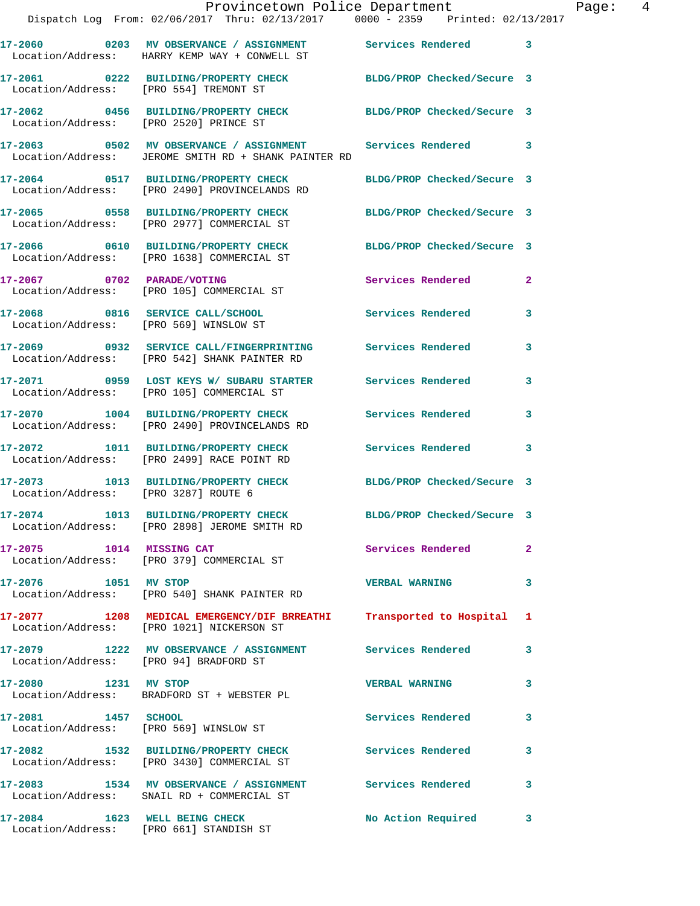|                                        | Dispatch Log From: 02/06/2017 Thru: 02/13/2017 0000 - 2359 Printed: 02/13/2017                                      | Provincetown Police Department | Page: 4      |
|----------------------------------------|---------------------------------------------------------------------------------------------------------------------|--------------------------------|--------------|
|                                        | 17-2060 6203 MV OBSERVANCE / ASSIGNMENT Services Rendered 3<br>Location/Address: HARRY KEMP WAY + CONWELL ST        |                                |              |
|                                        | 17-2061 0222 BUILDING/PROPERTY CHECK BLDG/PROP Checked/Secure 3<br>Location/Address: [PRO 554] TREMONT ST           |                                |              |
|                                        | 17-2062 0456 BUILDING/PROPERTY CHECK BLDG/PROP Checked/Secure 3<br>Location/Address: [PRO 2520] PRINCE ST           |                                |              |
|                                        | 17-2063 0502 MV OBSERVANCE / ASSIGNMENT Services Rendered 3<br>Location/Address: JEROME SMITH RD + SHANK PAINTER RD |                                |              |
|                                        | 17-2064 0517 BUILDING/PROPERTY CHECK<br>Location/Address: [PRO 2490] PROVINCELANDS RD                               | BLDG/PROP Checked/Secure 3     |              |
|                                        | 17-2065 0558 BUILDING/PROPERTY CHECK BLDG/PROP Checked/Secure 3<br>Location/Address: [PRO 2977] COMMERCIAL ST       |                                |              |
|                                        | 17-2066 0610 BUILDING/PROPERTY CHECK BLDG/PROP Checked/Secure 3<br>Location/Address: [PRO 1638] COMMERCIAL ST       |                                |              |
|                                        | 17-2067 0702 PARADE/VOTING<br>Location/Address: [PRO 105] COMMERCIAL ST                                             | <b>Services Rendered</b>       | $\mathbf{2}$ |
|                                        | 17-2068 0816 SERVICE CALL/SCHOOL 5 Services Rendered 3<br>Location/Address: [PRO 569] WINSLOW ST                    |                                |              |
|                                        | 17-2069 0932 SERVICE CALL/FINGERPRINTING Services Rendered<br>Location/Address: [PRO 542] SHANK PAINTER RD          |                                | 3            |
|                                        | 17-2071 0959 LOST KEYS W/ SUBARU STARTER Services Rendered<br>Location/Address: [PRO 105] COMMERCIAL ST             |                                | 3            |
|                                        | 17-2070 1004 BUILDING/PROPERTY CHECK Services Rendered<br>Location/Address: [PRO 2490] PROVINCELANDS RD             |                                | 3            |
|                                        | 17-2072 1011 BUILDING/PROPERTY CHECK Services Rendered 3<br>Location/Address: [PRO 2499] RACE POINT RD              |                                |              |
| Location/Address: [PRO 3287] ROUTE 6   | 17-2073 1013 BUILDING/PROPERTY CHECK BLDG/PROP Checked/Secure 3                                                     |                                |              |
|                                        | 17-2074 1013 BUILDING/PROPERTY CHECK<br>Location/Address: [PRO 2898] JEROME SMITH RD                                | BLDG/PROP Checked/Secure 3     |              |
|                                        | 17-2075 1014 MISSING CAT<br>Location/Address: [PRO 379] COMMERCIAL ST                                               | Services Rendered              | $\mathbf{2}$ |
| 17-2076 1051 MV STOP                   | Location/Address: [PRO 540] SHANK PAINTER RD                                                                        | <b>VERBAL WARNING</b>          | 3            |
|                                        | 17-2077 1208 MEDICAL EMERGENCY/DIF BRREATHI Transported to Hospital 1<br>Location/Address: [PRO 1021] NICKERSON ST  |                                |              |
| Location/Address: [PRO 94] BRADFORD ST | 17-2079 1222 MV OBSERVANCE / ASSIGNMENT Services Rendered 3                                                         |                                |              |
|                                        | 17-2080 1231 MV STOP<br>Location/Address: BRADFORD ST + WEBSTER PL                                                  | <b>VERBAL WARNING</b>          | 3            |
| 17-2081 1457 SCHOOL                    | Location/Address: [PRO 569] WINSLOW ST                                                                              | Services Rendered              | 3            |
|                                        | 17-2082 1532 BUILDING/PROPERTY CHECK Services Rendered<br>Location/Address: [PRO 3430] COMMERCIAL ST                |                                | 3            |
|                                        | 17-2083 1534 MV OBSERVANCE / ASSIGNMENT Services Rendered<br>Location/Address: SNAIL RD + COMMERCIAL ST             |                                | 3            |
|                                        | 17-2084 1623 WELL BEING CHECK<br>Location/Address: [PRO 661] STANDISH ST                                            | No Action Required             | 3            |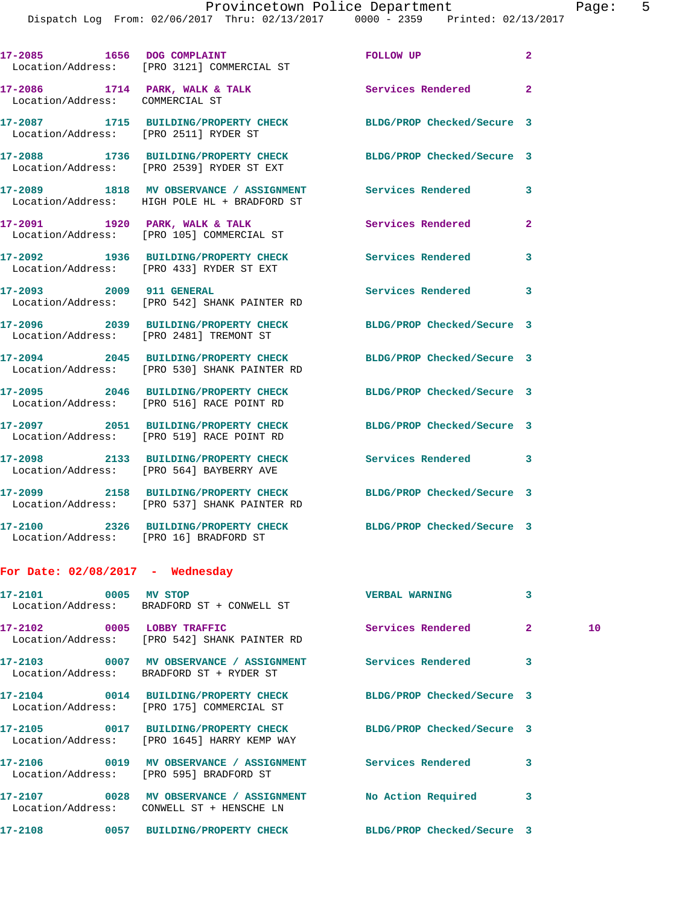|                                        | 17-2085 1656 DOG COMPLAINT<br>Location/Address: [PRO 3121] COMMERCIAL ST                                        | FOLLOW UP                | $\mathbf{2}$ |    |
|----------------------------------------|-----------------------------------------------------------------------------------------------------------------|--------------------------|--------------|----|
| Location/Address: COMMERCIAL ST        | $17-2086$ 1714 PARK, WALK & TALK                                                                                | Services Rendered 2      |              |    |
| Location/Address: [PRO 2511] RYDER ST  | 17-2087 1715 BUILDING/PROPERTY CHECK BLDG/PROP Checked/Secure 3                                                 |                          |              |    |
|                                        | 17-2088 1736 BUILDING/PROPERTY CHECK BLDG/PROP Checked/Secure 3<br>Location/Address: [PRO 2539] RYDER ST EXT    |                          |              |    |
|                                        | 17-2089 1818 MV OBSERVANCE / ASSIGNMENT Services Rendered 3<br>Location/Address: HIGH POLE HL + BRADFORD ST     |                          |              |    |
|                                        |                                                                                                                 | <b>Services Rendered</b> | $\mathbf{2}$ |    |
|                                        | 17-2092 1936 BUILDING/PROPERTY CHECK Services Rendered<br>Location/Address: [PRO 433] RYDER ST EXT              |                          | 3            |    |
|                                        | 17-2093 2009 911 GENERAL<br>Location/Address: [PRO 542] SHANK PAINTER RD                                        | Services Rendered 3      |              |    |
|                                        | 17-2096 2039 BUILDING/PROPERTY CHECK BLDG/PROP Checked/Secure 3<br>Location/Address: [PRO 2481] TREMONT ST      |                          |              |    |
|                                        | 17-2094 2045 BUILDING/PROPERTY CHECK BLDG/PROP Checked/Secure 3<br>Location/Address: [PRO 530] SHANK PAINTER RD |                          |              |    |
|                                        | 17-2095 2046 BUILDING/PROPERTY CHECK BLDG/PROP Checked/Secure 3<br>Location/Address: [PRO 516] RACE POINT RD    |                          |              |    |
|                                        | 17-2097 2051 BUILDING/PROPERTY CHECK BLDG/PROP Checked/Secure 3<br>Location/Address: [PRO 519] RACE POINT RD    |                          |              |    |
|                                        | 17-2098 2133 BUILDING/PROPERTY CHECK Services Rendered 3<br>Location/Address: [PRO 564] BAYBERRY AVE            |                          |              |    |
|                                        | 17-2099 2158 BUILDING/PROPERTY CHECK BLDG/PROP Checked/Secure 3<br>Location/Address: [PRO 537] SHANK PAINTER RD |                          |              |    |
| Location/Address: [PRO 16] BRADFORD ST | 17-2100 2326 BUILDING/PROPERTY CHECK BLDG/PROP Checked/Secure 3                                                 |                          |              |    |
| For Date: $02/08/2017$ - Wednesday     |                                                                                                                 |                          |              |    |
| 17-2101 0005 MV STOP                   | Location/Address: BRADFORD ST + CONWELL ST                                                                      | <b>VERBAL WARNING</b>    | 3            |    |
| 17-2102 0005 LOBBY TRAFFIC             | Location/Address: [PRO 542] SHANK PAINTER RD                                                                    | Services Rendered        | $\mathbf{2}$ | 10 |
|                                        | 17-2103 0007 MV OBSERVANCE / ASSIGNMENT Services Rendered<br>Location/Address: BRADFORD ST + RYDER ST           |                          | 3            |    |

**17-2104 0014 BUILDING/PROPERTY CHECK BLDG/PROP Checked/Secure 3**  Location/Address: [PRO 175] COMMERCIAL ST

Location/Address: [PRO 1645] HARRY KEMP WAY

Location/Address: [PRO 595] BRADFORD ST

**17-2107 0028 MV OBSERVANCE / ASSIGNMENT No Action Required 3**  Location/Address: CONWELL ST + HENSCHE LN

**17-2105 0017 BUILDING/PROPERTY CHECK BLDG/PROP Checked/Secure 3 17-2106 0019 MV OBSERVANCE / ASSIGNMENT Services Rendered 3** 

**17-2108 0057 BUILDING/PROPERTY CHECK BLDG/PROP Checked/Secure 3**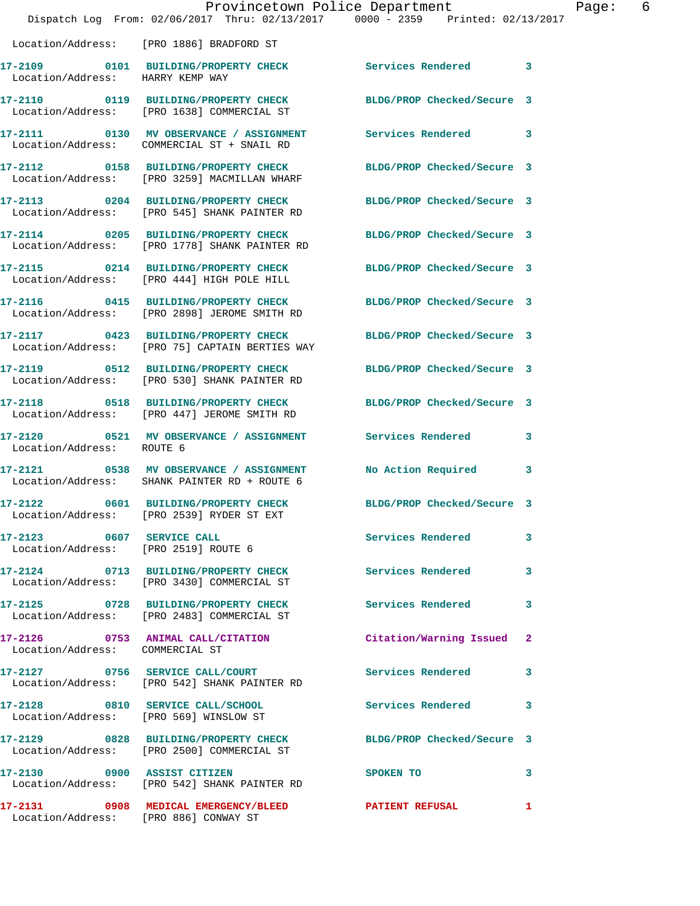|                                       | Dispatch Log From: 02/06/2017 Thru: 02/13/2017 0000 - 2359 Printed: 02/13/2017                                    | Provincetown Police Department | Page: 6 |
|---------------------------------------|-------------------------------------------------------------------------------------------------------------------|--------------------------------|---------|
|                                       | Location/Address: [PRO 1886] BRADFORD ST                                                                          |                                |         |
| Location/Address: HARRY KEMP WAY      | 17-2109 0101 BUILDING/PROPERTY CHECK Services Rendered 3                                                          |                                |         |
|                                       | 17-2110 0119 BUILDING/PROPERTY CHECK BLDG/PROP Checked/Secure 3<br>Location/Address: [PRO 1638] COMMERCIAL ST     |                                |         |
|                                       | 17-2111 0130 MV OBSERVANCE / ASSIGNMENT Services Rendered 3<br>Location/Address: COMMERCIAL ST + SNAIL RD         |                                |         |
|                                       | 17-2112      0158   BUILDING/PROPERTY CHECK<br>Location/Address:   [PRO 3259]MACMILLAN WHARF                      | BLDG/PROP Checked/Secure 3     |         |
|                                       | 17-2113 0204 BUILDING/PROPERTY CHECK BLDG/PROP Checked/Secure 3<br>Location/Address: [PRO 545] SHANK PAINTER RD   |                                |         |
|                                       | 17-2114 0205 BUILDING/PROPERTY CHECK BLDG/PROP Checked/Secure 3<br>Location/Address: [PRO 1778] SHANK PAINTER RD  |                                |         |
|                                       | 17-2115 0214 BUILDING/PROPERTY CHECK BLDG/PROP Checked/Secure 3<br>Location/Address: [PRO 444] HIGH POLE HILL     |                                |         |
|                                       | 17-2116 0415 BUILDING/PROPERTY CHECK BLDG/PROP Checked/Secure 3<br>Location/Address: [PRO 2898] JEROME SMITH RD   |                                |         |
|                                       | 17-2117 0423 BUILDING/PROPERTY CHECK BLDG/PROP Checked/Secure 3<br>Location/Address: [PRO 75] CAPTAIN BERTIES WAY |                                |         |
|                                       | 17-2119 0512 BUILDING/PROPERTY CHECK BLDG/PROP Checked/Secure 3<br>Location/Address: [PRO 530] SHANK PAINTER RD   |                                |         |
|                                       | 17-2118 0518 BUILDING/PROPERTY CHECK BLDG/PROP Checked/Secure 3<br>Location/Address: [PRO 447] JEROME SMITH RD    |                                |         |
| Location/Address: ROUTE 6             | 17-2120 0521 MV OBSERVANCE / ASSIGNMENT Services Rendered 3                                                       |                                |         |
|                                       | 17-2121 0538 MV OBSERVANCE / ASSIGNMENT<br>Location/Address: SHANK PAINTER RD + ROUTE 6                           | No Action Required             | 3       |
|                                       | 17-2122 0601 BUILDING/PROPERTY CHECK<br>Location/Address: [PRO 2539] RYDER ST EXT                                 | BLDG/PROP Checked/Secure 3     |         |
|                                       | 17-2123 0607 SERVICE CALL<br>Location/Address: [PRO 2519] ROUTE 6                                                 | <b>Services Rendered</b>       | 3       |
|                                       | 17-2124 0713 BUILDING/PROPERTY CHECK Services Rendered<br>Location/Address: [PRO 3430] COMMERCIAL ST              |                                | 3       |
|                                       | 17-2125 0728 BUILDING/PROPERTY CHECK Services Rendered<br>Location/Address: [PRO 2483] COMMERCIAL ST              |                                | 3       |
| Location/Address: COMMERCIAL ST       | 17-2126 0753 ANIMAL CALL/CITATION                                                                                 | Citation/Warning Issued 2      |         |
|                                       | 17-2127 0756 SERVICE CALL/COURT<br>Location/Address: [PRO 542] SHANK PAINTER RD                                   | Services Rendered              | 3       |
|                                       | 17-2128 0810 SERVICE CALL/SCHOOL 5 Services Rendered 3<br>Location/Address: [PRO 569] WINSLOW ST                  |                                |         |
|                                       | 17-2129 0828 BUILDING/PROPERTY CHECK BLDG/PROP Checked/Secure 3<br>Location/Address: [PRO 2500] COMMERCIAL ST     |                                |         |
| 17-2130 0900 ASSIST CITIZEN           | Location/Address: [PRO 542] SHANK PAINTER RD                                                                      | SPOKEN TO                      | 3       |
| Location/Address: [PRO 886] CONWAY ST | 17-2131 0908 MEDICAL EMERGENCY/BLEED PATIENT REFUSAL                                                              |                                | 1       |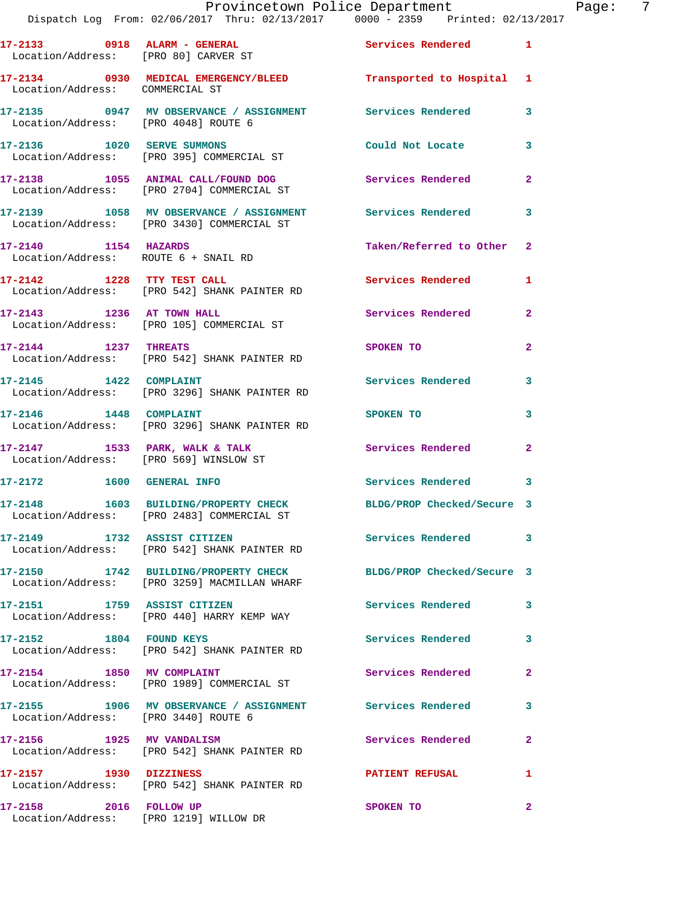|                                                                      | Dispatch Log From: 02/06/2017 Thru: 02/13/2017 0000 - 2359 Printed: 02/13/2017                          |                            |                |
|----------------------------------------------------------------------|---------------------------------------------------------------------------------------------------------|----------------------------|----------------|
| 17-2133 0918 ALARM - GENERAL<br>Location/Address: [PRO 80] CARVER ST |                                                                                                         | <b>Services Rendered</b>   | $\mathbf{1}$   |
| Location/Address: COMMERCIAL ST                                      | 17-2134 0930 MEDICAL EMERGENCY/BLEED Transported to Hospital                                            |                            | 1              |
| Location/Address: [PRO 4048] ROUTE 6                                 | 17-2135 6947 MV OBSERVANCE / ASSIGNMENT Services Rendered                                               |                            | 3              |
| 17-2136 1020 SERVE SUMMONS                                           | Location/Address: [PRO 395] COMMERCIAL ST                                                               | Could Not Locate           | 3              |
|                                                                      | 17-2138 1055 ANIMAL CALL/FOUND DOG<br>Location/Address: [PRO 2704] COMMERCIAL ST                        | <b>Services Rendered</b>   | $\mathbf{2}$   |
|                                                                      | 17-2139 1058 MV OBSERVANCE / ASSIGNMENT Services Rendered<br>Location/Address: [PRO 3430] COMMERCIAL ST |                            | 3              |
| 17-2140 1154 HAZARDS                                                 | Location/Address: ROUTE 6 + SNAIL RD                                                                    | Taken/Referred to Other    | $\overline{2}$ |
|                                                                      | 17-2142 1228 TTY TEST CALL<br>Location/Address: [PRO 542] SHANK PAINTER RD                              | <b>Services Rendered</b>   | 1              |
| 17-2143 1236 AT TOWN HALL                                            | Location/Address: [PRO 105] COMMERCIAL ST                                                               | Services Rendered          | $\overline{a}$ |
| 17-2144 1237 THREATS                                                 | Location/Address: [PRO 542] SHANK PAINTER RD                                                            | SPOKEN TO                  | $\mathbf{2}$   |
| 17-2145 1422 COMPLAINT                                               | Location/Address: [PRO 3296] SHANK PAINTER RD                                                           | <b>Services Rendered</b>   | 3              |
| 17-2146   1448   COMPLAINT                                           | Location/Address: [PRO 3296] SHANK PAINTER RD                                                           | SPOKEN TO                  | 3              |
| $17-2147$ 1533 PARK, WALK & TALK                                     | Location/Address: [PRO 569] WINSLOW ST                                                                  | Services Rendered          | $\mathbf{2}$   |
| 17-2172 1600 GENERAL INFO                                            |                                                                                                         | <b>Services Rendered</b>   | 3              |
| 17-2148                                                              | 1603 BUILDING/PROPERTY CHECK BLDG/PROP Checked/Secure 3<br>Location/Address: [PRO 2483] COMMERCIAL ST   |                            |                |
| 17-2149 1732 ASSIST CITIZEN                                          | Location/Address: [PRO 542] SHANK PAINTER RD                                                            | Services Rendered          | 3              |
|                                                                      | 17-2150 1742 BUILDING/PROPERTY CHECK<br>Location/Address: [PRO 3259] MACMILLAN WHARF                    | BLDG/PROP Checked/Secure 3 |                |
| 17-2151 1759 ASSIST CITIZEN                                          | Location/Address: [PRO 440] HARRY KEMP WAY                                                              | Services Rendered          | 3              |
| 17-2152 1804 FOUND KEYS                                              | Location/Address: [PRO 542] SHANK PAINTER RD                                                            | <b>Services Rendered</b>   | 3              |
| 17-2154 1850 MV COMPLAINT                                            | Location/Address: [PRO 1989] COMMERCIAL ST                                                              | Services Rendered          | 2              |
| Location/Address: [PRO 3440] ROUTE 6                                 | 17-2155 1906 MV OBSERVANCE / ASSIGNMENT Services Rendered                                               |                            | 3              |
|                                                                      | 17-2156 1925 MV VANDALISM<br>Location/Address: [PRO 542] SHANK PAINTER RD                               | Services Rendered          | 2              |
| 17-2157 1930 DIZZINESS                                               | Location/Address: [PRO 542] SHANK PAINTER RD                                                            | <b>PATIENT REFUSAL</b>     | 1              |
| 17-2158 2016 FOLLOW UP<br>Location/Address: [PRO 1219] WILLOW DR     |                                                                                                         | SPOKEN TO                  | 2              |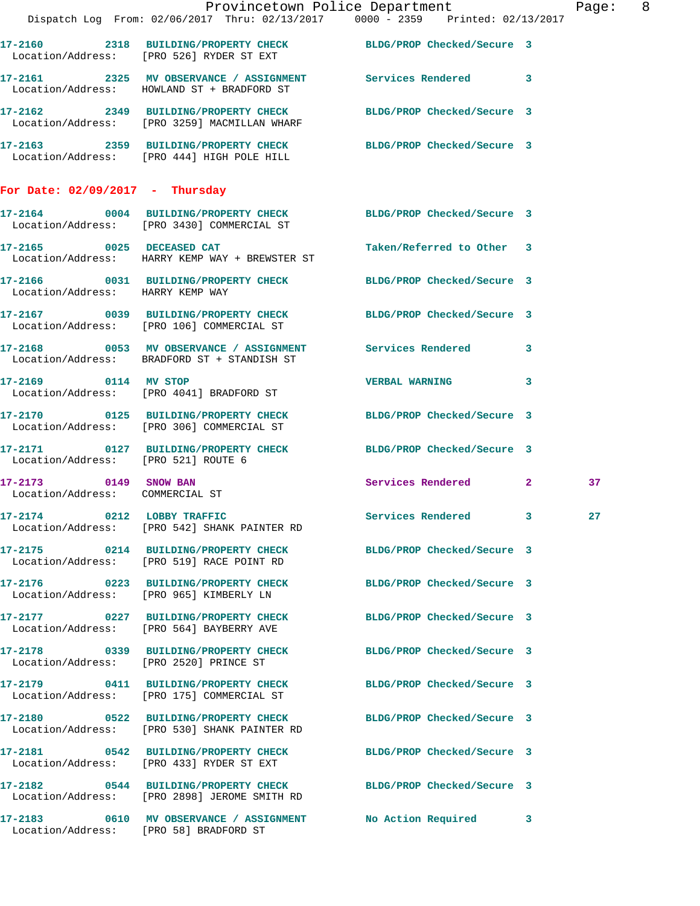|                                                          | Dispatch Log From: 02/06/2017 Thru: 02/13/2017 0000 - 2359 Printed: 02/13/2017                                  | Provincetown Police Department | Page: 8 |
|----------------------------------------------------------|-----------------------------------------------------------------------------------------------------------------|--------------------------------|---------|
|                                                          | 17-2160 2318 BUILDING/PROPERTY CHECK BLDG/PROP Checked/Secure 3<br>Location/Address: [PRO 526] RYDER ST EXT     |                                |         |
|                                                          |                                                                                                                 |                                |         |
|                                                          | 17-2162 2349 BUILDING/PROPERTY CHECK BLDG/PROP Checked/Secure 3<br>Location/Address: [PRO 3259] MACMILLAN WHARF |                                |         |
|                                                          | 17-2163 2359 BUILDING/PROPERTY CHECK BLDG/PROP Checked/Secure 3<br>Location/Address: [PRO 444] HIGH POLE HILL   |                                |         |
| For Date: $02/09/2017$ - Thursday                        |                                                                                                                 |                                |         |
|                                                          | 17-2164 0004 BUILDING/PROPERTY CHECK BLDG/PROP Checked/Secure 3<br>Location/Address: [PRO 3430] COMMERCIAL ST   |                                |         |
|                                                          | 17-2165 0025 DECEASED CAT<br>Location/Address: HARRY KEMP WAY + BREWSTER ST                                     | Taken/Referred to Other 3      |         |
| Location/Address: HARRY KEMP WAY                         | 17-2166 0031 BUILDING/PROPERTY CHECK BLDG/PROP Checked/Secure 3                                                 |                                |         |
|                                                          | 17-2167 0039 BUILDING/PROPERTY CHECK BLDG/PROP Checked/Secure 3<br>Location/Address: [PRO 106] COMMERCIAL ST    |                                |         |
|                                                          | 17-2168 0053 MV OBSERVANCE / ASSIGNMENT Services Rendered 3<br>Location/Address: BRADFORD ST + STANDISH ST      |                                |         |
|                                                          | 17-2169 0114 MV STOP<br>Location/Address: [PRO 4041] BRADFORD ST                                                | <b>VERBAL WARNING</b>          | 3       |
|                                                          | 17-2170 0125 BUILDING/PROPERTY CHECK BLDG/PROP Checked/Secure 3<br>Location/Address: [PRO 306] COMMERCIAL ST    |                                |         |
| Location/Address: [PRO 521] ROUTE 6                      | 17-2171 0127 BUILDING/PROPERTY CHECK BLDG/PROP Checked/Secure 3                                                 |                                |         |
| 17-2173 0149 SNOW BAN<br>Location/Address: COMMERCIAL ST |                                                                                                                 | Services Rendered 2            | 37      |
|                                                          | 17-2174 0212 LOBBY TRAFFIC<br>Location/Address: [PRO 542] SHANK PAINTER RD                                      | Services Rendered 3            | 27      |
|                                                          | 17-2175 0214 BUILDING/PROPERTY CHECK<br>Location/Address: [PRO 519] RACE POINT RD                               | BLDG/PROP Checked/Secure 3     |         |
|                                                          | 17-2176 0223 BUILDING/PROPERTY CHECK<br>Location/Address: [PRO 965] KIMBERLY LN                                 | BLDG/PROP Checked/Secure 3     |         |
|                                                          | 17-2177 0227 BUILDING/PROPERTY CHECK<br>Location/Address: [PRO 564] BAYBERRY AVE                                | BLDG/PROP Checked/Secure 3     |         |
| Location/Address: [PRO 2520] PRINCE ST                   | 17-2178 0339 BUILDING/PROPERTY CHECK BLDG/PROP Checked/Secure 3                                                 |                                |         |
|                                                          | 17-2179 0411 BUILDING/PROPERTY CHECK<br>Location/Address: [PRO 175] COMMERCIAL ST                               | BLDG/PROP Checked/Secure 3     |         |
|                                                          | 17-2180 0522 BUILDING/PROPERTY CHECK<br>Location/Address: [PRO 530] SHANK PAINTER RD                            | BLDG/PROP Checked/Secure 3     |         |
|                                                          | 17-2181 0542 BUILDING/PROPERTY CHECK BLDG/PROP Checked/Secure 3<br>Location/Address: [PRO 433] RYDER ST EXT     |                                |         |
|                                                          | 17-2182 0544 BUILDING/PROPERTY CHECK BLDG/PROP Checked/Secure 3<br>Location/Address: [PRO 2898] JEROME SMITH RD |                                |         |
| Location/Address: [PRO 58] BRADFORD ST                   | 17-2183 0610 MV OBSERVANCE / ASSIGNMENT No Action Required 3                                                    |                                |         |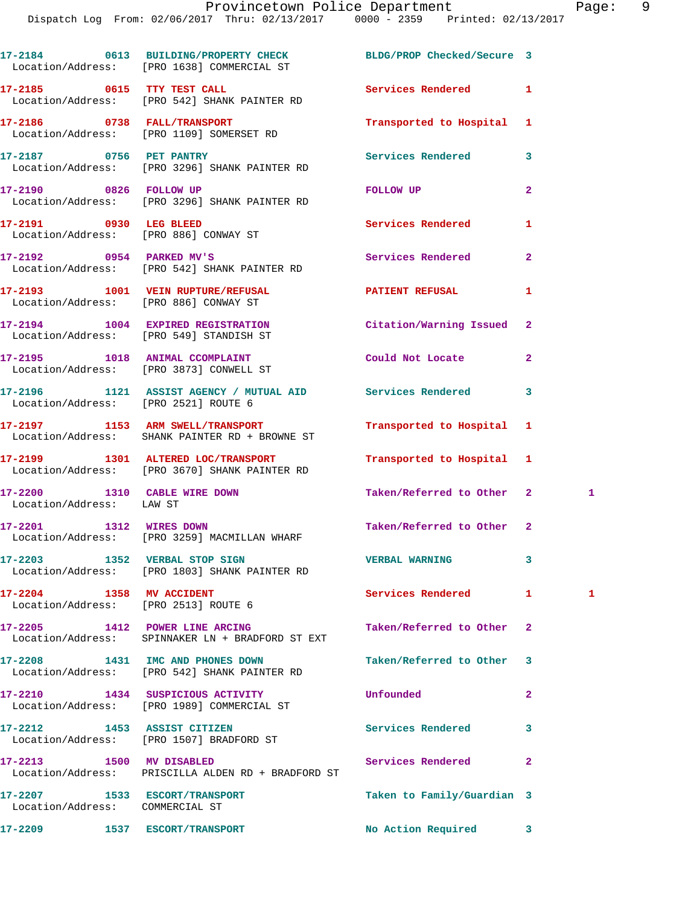|                                                                  | 17-2184 0613 BUILDING/PROPERTY CHECK BLDG/PROP Checked/Secure 3<br>Location/Address: [PRO 1638] COMMERCIAL ST |                            |                |              |
|------------------------------------------------------------------|---------------------------------------------------------------------------------------------------------------|----------------------------|----------------|--------------|
|                                                                  | 17-2185 0615 TTY TEST CALL<br>Location/Address: [PRO 542] SHANK PAINTER RD                                    | <b>Services Rendered</b>   | $\mathbf{1}$   |              |
|                                                                  | 17-2186 0738 FALL/TRANSPORT<br>Location/Address: [PRO 1109] SOMERSET RD                                       | Transported to Hospital 1  |                |              |
|                                                                  | 17-2187 0756 PET PANTRY<br>Location/Address: [PRO 3296] SHANK PAINTER RD                                      | Services Rendered          | 3              |              |
| 17-2190 0826 FOLLOW UP                                           | Location/Address: [PRO 3296] SHANK PAINTER RD                                                                 | FOLLOW UP                  | $\overline{a}$ |              |
| 17-2191 0930 LEG BLEED                                           | Location/Address: [PRO 886] CONWAY ST                                                                         | Services Rendered          | 1              |              |
| 17-2192 0954 PARKED MV'S                                         | Location/Address: [PRO 542] SHANK PAINTER RD                                                                  | Services Rendered          | $\mathbf{2}$   |              |
| Location/Address: [PRO 886] CONWAY ST                            | 17-2193 1001 VEIN RUPTURE/REFUSAL 17-2193 PATIENT REFUSAL                                                     |                            | 1              |              |
|                                                                  | 17-2194 1004 EXPIRED REGISTRATION<br>Location/Address: [PRO 549] STANDISH ST                                  | Citation/Warning Issued    | $\mathbf{2}$   |              |
|                                                                  | 17-2195 1018 ANIMAL CCOMPLAINT<br>Location/Address: [PRO 3873] CONWELL ST                                     | Could Not Locate           | $\mathbf{2}$   |              |
| Location/Address: [PRO 2521] ROUTE 6                             | 17-2196 1121 ASSIST AGENCY / MUTUAL AID Services Rendered                                                     |                            | 3              |              |
|                                                                  | 17-2197 1153 ARM SWELL/TRANSPORT<br>Location/Address: SHANK PAINTER RD + BROWNE ST                            | Transported to Hospital 1  |                |              |
|                                                                  | 17-2199 1301 ALTERED LOC/TRANSPORT<br>Location/Address: [PRO 3670] SHANK PAINTER RD                           | Transported to Hospital 1  |                |              |
| 17-2200 1310 CABLE WIRE DOWN<br>Location/Address: LAW ST         |                                                                                                               | Taken/Referred to Other 2  |                | $\mathbf{1}$ |
| 17-2201 1312 WIRES DOWN                                          | Location/Address: [PRO 3259] MACMILLAN WHARF                                                                  | Taken/Referred to Other 2  |                |              |
|                                                                  | 17-2203 1352 VERBAL STOP SIGN<br>Location/Address: [PRO 1803] SHANK PAINTER RD                                | <b>VERBAL WARNING</b>      | 3              |              |
| 17-2204 1358 MV ACCIDENT<br>Location/Address: [PRO 2513] ROUTE 6 |                                                                                                               | Services Rendered          | $\mathbf{1}$   | 1            |
|                                                                  | 17-2205 1412 POWER LINE ARCING<br>Location/Address: SPINNAKER LN + BRADFORD ST EXT                            | Taken/Referred to Other    | $\mathbf{2}$   |              |
|                                                                  | 17-2208 1431 IMC AND PHONES DOWN<br>Location/Address: [PRO 542] SHANK PAINTER RD                              | Taken/Referred to Other    | 3              |              |
|                                                                  | 17-2210 1434 SUSPICIOUS ACTIVITY<br>Location/Address: [PRO 1989] COMMERCIAL ST                                | Unfounded                  | $\overline{a}$ |              |
|                                                                  | 17-2212 1453 ASSIST CITIZEN<br>Location/Address: [PRO 1507] BRADFORD ST                                       | Services Rendered          | 3              |              |
| 17-2213 1500 MV DISABLED                                         | Location/Address: PRISCILLA ALDEN RD + BRADFORD ST                                                            | Services Rendered          | $\overline{2}$ |              |
| 17-2207 1533 ESCORT/TRANSPORT<br>Location/Address: COMMERCIAL ST |                                                                                                               | Taken to Family/Guardian 3 |                |              |
|                                                                  |                                                                                                               |                            |                |              |

17-2209 1537 ESCORT/TRANSPORT No Action Required 3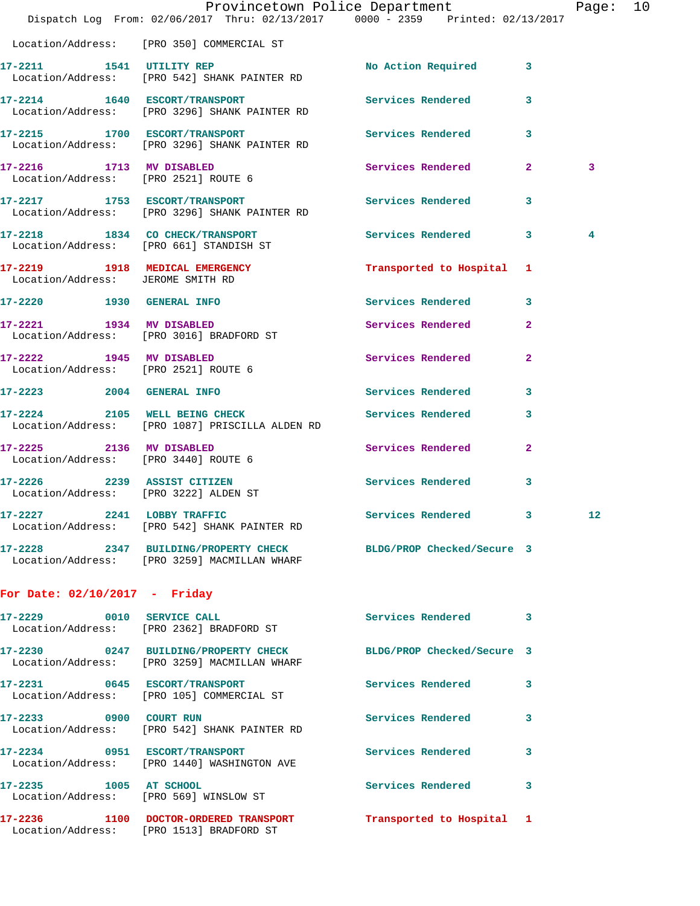|                                   | Dispatch Log From: 02/06/2017 Thru: 02/13/2017 0000 - 2359 Printed: 02/13/2017                                  | Provincetown Police Department |                | Page: 10 |  |
|-----------------------------------|-----------------------------------------------------------------------------------------------------------------|--------------------------------|----------------|----------|--|
|                                   | Location/Address: [PRO 350] COMMERCIAL ST                                                                       |                                |                |          |  |
|                                   | 17-2211 1541 UTILITY REP<br>Location/Address: [PRO 542] SHANK PAINTER RD                                        | No Action Required 3           |                |          |  |
|                                   | 17-2214 1640 ESCORT/TRANSPORT<br>Location/Address: [PRO 3296] SHANK PAINTER RD                                  | Services Rendered              | 3              |          |  |
|                                   | 17-2215 1700 ESCORT/TRANSPORT Services Rendered 3<br>Location/Address: [PRO 3296] SHANK PAINTER RD              |                                |                |          |  |
|                                   | 17-2216 1713 MV DISABLED<br>Location/Address: [PRO 2521] ROUTE 6                                                | Services Rendered 2            |                | 3        |  |
|                                   | 17-2217 1753 ESCORT/TRANSPORT<br>Location/Address: [PRO 3296] SHANK PAINTER RD                                  | Services Rendered 3            |                |          |  |
|                                   | 17-2218 1834 CO CHECK/TRANSPORT<br>Location/Address: [PRO 661] STANDISH ST                                      | Services Rendered 3            |                | 4        |  |
| Location/Address: JEROME SMITH RD | 17-2219 1918 MEDICAL EMERGENCY                                                                                  | Transported to Hospital 1      |                |          |  |
| 17-2220 1930 GENERAL INFO         |                                                                                                                 | Services Rendered 3            |                |          |  |
|                                   | 17-2221 1934 MV DISABLED<br>Location/Address: [PRO 3016] BRADFORD ST                                            | Services Rendered              | $\overline{2}$ |          |  |
|                                   | 17-2222 1945 MV DISABLED<br>Location/Address: [PRO 2521] ROUTE 6                                                | Services Rendered              | $\overline{2}$ |          |  |
|                                   | 17-2223 2004 GENERAL INFO                                                                                       | Services Rendered              | 3              |          |  |
|                                   | 17-2224 2105 WELL BEING CHECK<br>Location/Address: [PRO 1087] PRISCILLA ALDEN RD                                | <b>Services Rendered</b>       | 3              |          |  |
| 17-2225 2136 MV DISABLED          | Location/Address: [PRO 3440] ROUTE 6                                                                            | Services Rendered 2            |                |          |  |
|                                   | 17-2226 2239 ASSIST CITIZEN<br>Location/Address: [PRO 3222] ALDEN ST                                            | Services Rendered 3            |                |          |  |
|                                   | 17-2227 2241 LOBBY TRAFFIC<br>Location/Address: [PRO 542] SHANK PAINTER RD                                      | Services Rendered 3            |                | 12       |  |
|                                   | 17-2228 2347 BUILDING/PROPERTY CHECK BLDG/PROP Checked/Secure 3<br>Location/Address: [PRO 3259] MACMILLAN WHARF |                                |                |          |  |
| For Date: $02/10/2017$ - Friday   |                                                                                                                 |                                |                |          |  |
|                                   | 17-2229 0010 SERVICE CALL<br>Location/Address: [PRO 2362] BRADFORD ST                                           | Services Rendered 3            |                |          |  |
|                                   | 17-2230 0247 BUILDING/PROPERTY CHECK BLDG/PROP Checked/Secure 3<br>Location/Address: [PRO 3259] MACMILLAN WHARF |                                |                |          |  |
|                                   | 17-2231 0645 ESCORT/TRANSPORT<br>Location/Address: [PRO 105] COMMERCIAL ST                                      | Services Rendered 3            |                |          |  |
| 17-2233 0900 COURT RUN            | Location/Address: [PRO 542] SHANK PAINTER RD                                                                    | Services Rendered 3            |                |          |  |
|                                   | 17-2234 0951 ESCORT/TRANSPORT<br>Location/Address: [PRO 1440] WASHINGTON AVE                                    | Services Rendered              | 3              |          |  |
| 17-2235 1005 AT SCHOOL            | Location/Address: [PRO 569] WINSLOW ST                                                                          | Services Rendered 3            |                |          |  |
|                                   | 17-2236 1100 DOCTOR-ORDERED TRANSPORT Transported to Hospital 1<br>Location/Address: [PRO 1513] BRADFORD ST     |                                |                |          |  |
|                                   |                                                                                                                 |                                |                |          |  |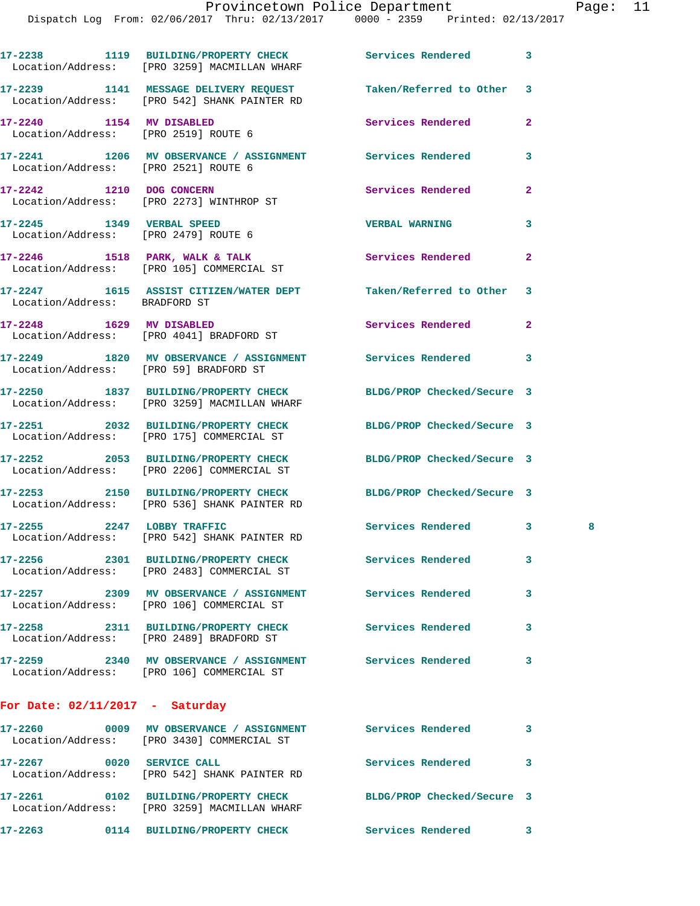| raue |  |  |
|------|--|--|
|      |  |  |

|                                      | 17-2238 1119 BUILDING/PROPERTY CHECK Services Rendered<br>Location/Address: [PRO 3259] MACMILLAN WHARF          |                            | 3              |   |
|--------------------------------------|-----------------------------------------------------------------------------------------------------------------|----------------------------|----------------|---|
|                                      | 17-2239 1141 MESSAGE DELIVERY REQUEST<br>Location/Address: [PRO 542] SHANK PAINTER RD                           | Taken/Referred to Other    | 3              |   |
|                                      | 17-2240 1154 MV DISABLED<br>Location/Address: [PRO 2519] ROUTE 6                                                | Services Rendered          | $\overline{a}$ |   |
| Location/Address: [PRO 2521] ROUTE 6 | 17-2241 1206 MV OBSERVANCE / ASSIGNMENT Services Rendered                                                       |                            | 3              |   |
|                                      | 17-2242 1210 DOG CONCERN<br>Location/Address: [PRO 2273] WINTHROP ST                                            | <b>Services Rendered</b>   | $\overline{a}$ |   |
|                                      | 17-2245    1349    VERBAL SPEED<br>Location/Address: [PRO 2479] ROUTE 6                                         | <b>VERBAL WARNING</b>      | 3              |   |
|                                      | 17-2246 1518 PARK, WALK & TALK<br>Location/Address: [PRO 105] COMMERCIAL ST                                     | Services Rendered          | $\overline{a}$ |   |
| Location/Address: BRADFORD ST        | 17-2247 1615 ASSIST CITIZEN/WATER DEPT Taken/Referred to Other                                                  |                            | 3              |   |
|                                      | 17-2248 1629 MV DISABLED<br>Location/Address: [PRO 4041] BRADFORD ST                                            | <b>Services Rendered</b>   | $\mathbf{2}$   |   |
|                                      | 17-2249 1820 MV OBSERVANCE / ASSIGNMENT Services Rendered<br>Location/Address: [PRO 59] BRADFORD ST             |                            | 3              |   |
|                                      | 17-2250 1837 BUILDING/PROPERTY CHECK<br>Location/Address: [PRO 3259] MACMILLAN WHARF                            | BLDG/PROP Checked/Secure 3 |                |   |
|                                      | 17-2251 2032 BUILDING/PROPERTY CHECK<br>Location/Address: [PRO 175] COMMERCIAL ST                               | BLDG/PROP Checked/Secure 3 |                |   |
|                                      | 17-2252 2053 BUILDING/PROPERTY CHECK<br>Location/Address: [PRO 2206] COMMERCIAL ST                              | BLDG/PROP Checked/Secure 3 |                |   |
|                                      | 17-2253 2150 BUILDING/PROPERTY CHECK BLDG/PROP Checked/Secure 3<br>Location/Address: [PRO 536] SHANK PAINTER RD |                            |                |   |
|                                      | 17-2255 2247 LOBBY TRAFFIC<br>Location/Address: [PRO 542] SHANK PAINTER RD                                      | Services Rendered          | $\mathbf{3}$   | 8 |
|                                      | 17-2256 2301 BUILDING/PROPERTY CHECK<br>Location/Address: [PRO 2483] COMMERCIAL ST                              | Services Rendered          | 3              |   |
|                                      | 17-2257 2309 MV OBSERVANCE / ASSIGNMENT Services Rendered<br>Location/Address: [PRO 106] COMMERCIAL ST          |                            | 3              |   |
|                                      | 17-2258 2311 BUILDING/PROPERTY CHECK<br>Location/Address: [PRO 2489] BRADFORD ST                                | Services Rendered          | 3              |   |
|                                      | 17-2259 2340 MV OBSERVANCE / ASSIGNMENT Services Rendered<br>Location/Address: [PRO 106] COMMERCIAL ST          |                            | 3              |   |
| For Date: $02/11/2017$ - Saturday    |                                                                                                                 |                            |                |   |
|                                      | 17-2260 0009 MV OBSERVANCE / ASSIGNMENT Services Rendered<br>Location/Address: [PRO 3430] COMMERCIAL ST         |                            | 3              |   |
| 17-2267 0020 SERVICE CALL            | Location/Address: [PRO 542] SHANK PAINTER RD                                                                    | <b>Services Rendered</b>   | 3              |   |
|                                      | 17-2261 0102 BUILDING/PROPERTY CHECK<br>Location/Address: [PRO 3259] MACMILLAN WHARF                            | BLDG/PROP Checked/Secure 3 |                |   |
|                                      | 17-2263 0114 BUILDING/PROPERTY CHECK Services Rendered                                                          |                            | 3              |   |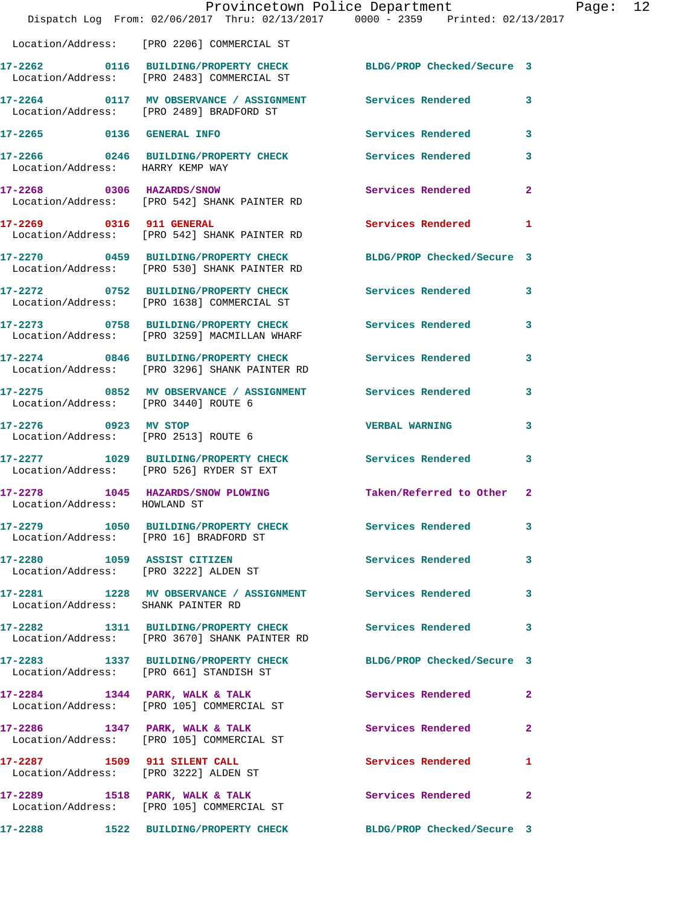|                                                                      | Provincetown Police Department<br>Dispatch Log From: 02/06/2017 Thru: 02/13/2017 0000 - 2359 Printed: 02/13/2017 |                            |                |
|----------------------------------------------------------------------|------------------------------------------------------------------------------------------------------------------|----------------------------|----------------|
|                                                                      |                                                                                                                  |                            |                |
|                                                                      | Location/Address: [PRO 2206] COMMERCIAL ST                                                                       |                            |                |
|                                                                      | 17-2262 0116 BUILDING/PROPERTY CHECK<br>Location/Address: [PRO 2483] COMMERCIAL ST                               | BLDG/PROP Checked/Secure 3 |                |
|                                                                      | 17-2264 0117 MV OBSERVANCE / ASSIGNMENT Services Rendered<br>Location/Address: [PRO 2489] BRADFORD ST            |                            | 3              |
| 17-2265 0136 GENERAL INFO                                            |                                                                                                                  | Services Rendered          | 3              |
| Location/Address: HARRY KEMP WAY                                     | 17-2266 0246 BUILDING/PROPERTY CHECK Services Rendered                                                           |                            | 3              |
|                                                                      | 17-2268 0306 HAZARDS/SNOW<br>Location/Address: [PRO 542] SHANK PAINTER RD                                        | <b>Services Rendered</b>   | $\overline{a}$ |
| 17-2269 0316 911 GENERAL                                             | Location/Address: [PRO 542] SHANK PAINTER RD                                                                     | <b>Services Rendered</b>   | 1              |
|                                                                      | 17-2270 0459 BUILDING/PROPERTY CHECK BLDG/PROP Checked/Secure 3<br>Location/Address: [PRO 530] SHANK PAINTER RD  |                            |                |
|                                                                      | 17-2272 0752 BUILDING/PROPERTY CHECK<br>Location/Address: [PRO 1638] COMMERCIAL ST                               | <b>Services Rendered</b>   | 3              |
|                                                                      | 17-2273 0758 BUILDING/PROPERTY CHECK Services Rendered<br>Location/Address: [PRO 3259] MACMILLAN WHARF           |                            | 3              |
|                                                                      | 17-2274 0846 BUILDING/PROPERTY CHECK<br>Location/Address: [PRO 3296] SHANK PAINTER RD                            | <b>Services Rendered</b>   | 3              |
| Location/Address: [PRO 3440] ROUTE 6                                 | 17-2275 0852 MV OBSERVANCE / ASSIGNMENT Services Rendered                                                        |                            | 3              |
| 17-2276 0923 MV STOP<br>Location/Address: [PRO 2513] ROUTE 6         |                                                                                                                  | <b>VERBAL WARNING</b>      | 3              |
|                                                                      | 17-2277 1029 BUILDING/PROPERTY CHECK<br>Location/Address: [PRO 526] RYDER ST EXT                                 | Services Rendered          | 3              |
| Location/Address: HOWLAND ST                                         | 17-2278 1045 HAZARDS/SNOW PLOWING                                                                                | Taken/Referred to Other    | $\mathbf{2}$   |
| Location/Address: [PRO 16] BRADFORD ST                               | 17-2279 1050 BUILDING/PROPERTY CHECK                                                                             | Services Rendered          | 3              |
| 17-2280 1059 ASSIST CITIZEN<br>Location/Address: [PRO 3222] ALDEN ST |                                                                                                                  | <b>Services Rendered</b>   | 3              |
| Location/Address: SHANK PAINTER RD                                   | 17-2281 1228 MV OBSERVANCE / ASSIGNMENT Services Rendered                                                        |                            | 3              |
|                                                                      | 17-2282 1311 BUILDING/PROPERTY CHECK<br>Location/Address: [PRO 3670] SHANK PAINTER RD                            | Services Rendered          | 3              |
|                                                                      | 17-2283 1337 BUILDING/PROPERTY CHECK<br>Location/Address: [PRO 661] STANDISH ST                                  | BLDG/PROP Checked/Secure 3 |                |
|                                                                      | $17-2284$ 1344 PARK, WALK & TALK<br>Location/Address: [PRO 105] COMMERCIAL ST                                    | Services Rendered          | $\mathbf{2}$   |
|                                                                      | $17-2286$ 1347 PARK, WALK & TALK<br>Location/Address: [PRO 105] COMMERCIAL ST                                    | Services Rendered          | $\mathbf{2}$   |
| 17-2287 1509 911 SILENT CALL                                         | Location/Address: [PRO 3222] ALDEN ST                                                                            | Services Rendered          | 1              |
|                                                                      | 17-2289 1518 PARK, WALK & TALK<br>Location/Address: [PRO 105] COMMERCIAL ST                                      | Services Rendered          | $\mathbf{2}$   |
|                                                                      | 17-2288 1522 BUILDING/PROPERTY CHECK                                                                             | BLDG/PROP Checked/Secure 3 |                |

Page: 12<br><sup>17</sup>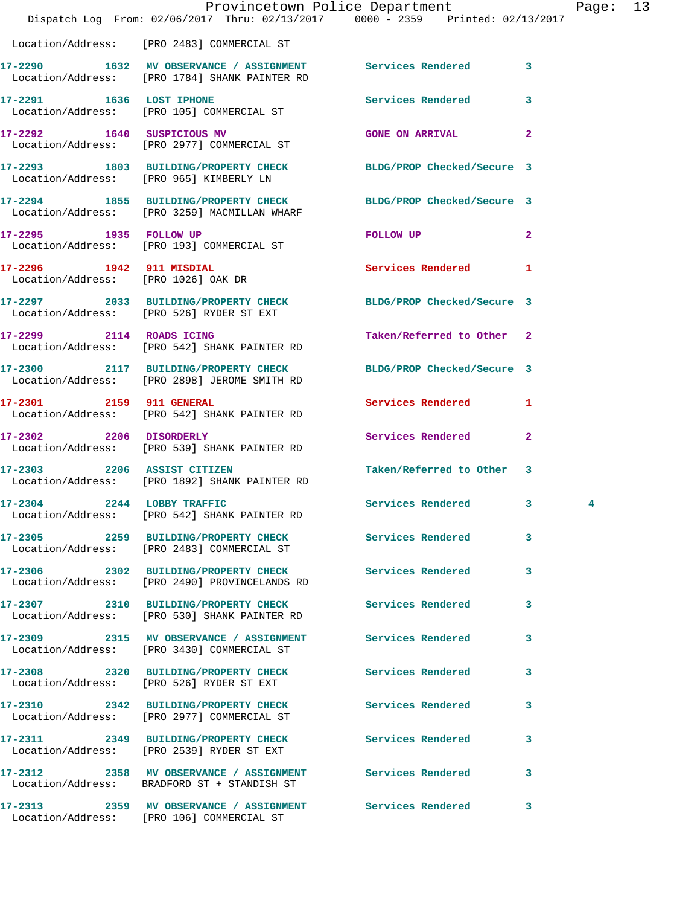|                                     | Dispatch Log From: 02/06/2017 Thru: 02/13/2017 0000 - 2359 Printed: 02/13/2017                               | Provincetown Police Department |              | Page: 13 |  |
|-------------------------------------|--------------------------------------------------------------------------------------------------------------|--------------------------------|--------------|----------|--|
|                                     | Location/Address: [PRO 2483] COMMERCIAL ST                                                                   |                                |              |          |  |
|                                     | 17-2290 1632 MV OBSERVANCE / ASSIGNMENT Services Rendered 3<br>Location/Address: [PRO 1784] SHANK PAINTER RD |                                |              |          |  |
|                                     | 17-2291 1636 LOST IPHONE<br>Location/Address: [PRO 105] COMMERCIAL ST                                        | Services Rendered 3            |              |          |  |
|                                     | 17-2292 1640 SUSPICIOUS MV<br>Location/Address: [PRO 2977] COMMERCIAL ST                                     | <b>GONE ON ARRIVAL</b>         | $\mathbf{2}$ |          |  |
|                                     | 17-2293 1803 BUILDING/PROPERTY CHECK BLDG/PROP Checked/Secure 3<br>Location/Address: [PRO 965] KIMBERLY LN   |                                |              |          |  |
|                                     | 17-2294 1855 BUILDING/PROPERTY CHECK<br>Location/Address: [PRO 3259] MACMILLAN WHARF                         | BLDG/PROP Checked/Secure 3     |              |          |  |
| 17-2295 1935 FOLLOW UP              | Location/Address: [PRO 193] COMMERCIAL ST                                                                    | FOLLOW UP                      | $\mathbf{2}$ |          |  |
| Location/Address: [PRO 1026] OAK DR | 17-2296 1942 911 MISDIAL                                                                                     | Services Rendered 1            |              |          |  |
|                                     | 17-2297 2033 BUILDING/PROPERTY CHECK BLDG/PROP Checked/Secure 3<br>Location/Address: [PRO 526] RYDER ST EXT  |                                |              |          |  |
|                                     | 17-2299 2114 ROADS ICING<br>Location/Address: [PRO 542] SHANK PAINTER RD                                     | Taken/Referred to Other 2      |              |          |  |
|                                     | 17-2300 2117 BUILDING/PROPERTY CHECK<br>Location/Address: [PRO 2898] JEROME SMITH RD                         | BLDG/PROP Checked/Secure 3     |              |          |  |
| 17-2301 2159 911 GENERAL            | Location/Address: [PRO 542] SHANK PAINTER RD                                                                 | Services Rendered 1            |              |          |  |
| 17-2302 2206 DISORDERLY             | Location/Address: [PRO 539] SHANK PAINTER RD                                                                 | Services Rendered 2            |              |          |  |
|                                     | 17-2303 2206 ASSIST CITIZEN<br>Location/Address: [PRO 1892] SHANK PAINTER RD                                 | Taken/Referred to Other 3      |              |          |  |
| 17-2304 2244 LOBBY TRAFFIC          | Location/Address: [PRO 542] SHANK PAINTER RD                                                                 | Services Rendered 3            |              |          |  |
|                                     | 17-2305 2259 BUILDING/PROPERTY CHECK<br>Location/Address: [PRO 2483] COMMERCIAL ST                           | Services Rendered              | $\mathbf{3}$ |          |  |
|                                     | 17-2306 2302 BUILDING/PROPERTY CHECK<br>Location/Address: [PRO 2490] PROVINCELANDS RD                        | Services Rendered              | 3            |          |  |
|                                     | 17-2307 2310 BUILDING/PROPERTY CHECK Services Rendered<br>Location/Address: [PRO 530] SHANK PAINTER RD       |                                | 3            |          |  |
|                                     | 17-2309 2315 MV OBSERVANCE / ASSIGNMENT Services Rendered<br>Location/Address: [PRO 3430] COMMERCIAL ST      |                                | 3            |          |  |
|                                     | 17-2308 2320 BUILDING/PROPERTY CHECK<br>Location/Address: [PRO 526] RYDER ST EXT                             | Services Rendered              | 3            |          |  |
|                                     | 17-2310 2342 BUILDING/PROPERTY CHECK<br>Location/Address: [PRO 2977] COMMERCIAL ST                           | <b>Services Rendered</b>       | 3            |          |  |
|                                     | 17-2311 2349 BUILDING/PROPERTY CHECK Services Rendered<br>Location/Address: [PRO 2539] RYDER ST EXT          |                                | 3            |          |  |
|                                     | 17-2312 2358 MV OBSERVANCE / ASSIGNMENT Services Rendered<br>Location/Address: BRADFORD ST + STANDISH ST     |                                | 3            |          |  |
|                                     |                                                                                                              |                                |              |          |  |

Location/Address: [PRO 106] COMMERCIAL ST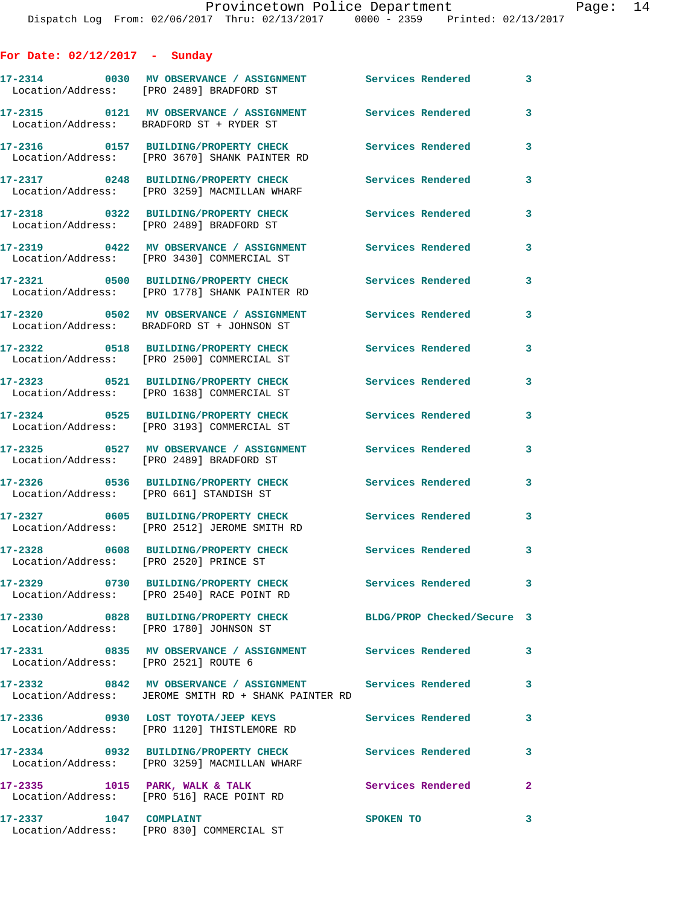| For Date: $02/12/2017$ - Sunday         |                                                                                                                   |                            |              |
|-----------------------------------------|-------------------------------------------------------------------------------------------------------------------|----------------------------|--------------|
|                                         | 17-2314 0030 MV OBSERVANCE / ASSIGNMENT Services Rendered<br>Location/Address: [PRO 2489] BRADFORD ST             |                            | $\mathbf{3}$ |
|                                         | 17-2315 0121 MV OBSERVANCE / ASSIGNMENT<br>Location/Address: BRADFORD ST + RYDER ST                               | Services Rendered          | 3            |
|                                         | 17-2316 0157 BUILDING/PROPERTY CHECK<br>Location/Address: [PRO 3670] SHANK PAINTER RD                             | <b>Services Rendered</b>   | 3            |
|                                         | 17-2317 0248 BUILDING/PROPERTY CHECK<br>Location/Address: [PRO 3259] MACMILLAN WHARF                              | Services Rendered          | 3            |
|                                         | 17-2318 0322 BUILDING/PROPERTY CHECK<br>Location/Address: [PRO 2489] BRADFORD ST                                  | <b>Services Rendered</b>   | 3            |
|                                         | 17-2319 0422 MV OBSERVANCE / ASSIGNMENT<br>Location/Address: [PRO 3430] COMMERCIAL ST                             | <b>Services Rendered</b>   | 3            |
|                                         | 17-2321 0500 BUILDING/PROPERTY CHECK<br>Location/Address: [PRO 1778] SHANK PAINTER RD                             | <b>Services Rendered</b>   | 3            |
|                                         | 17-2320 0502 MV OBSERVANCE / ASSIGNMENT<br>Location/Address: BRADFORD ST + JOHNSON ST                             | Services Rendered          | 3            |
|                                         | 17-2322 0518 BUILDING/PROPERTY CHECK<br>Location/Address: [PRO 2500] COMMERCIAL ST                                | Services Rendered          | 3            |
|                                         | 17-2323 0521 BUILDING/PROPERTY CHECK<br>Location/Address: [PRO 1638] COMMERCIAL ST                                | <b>Services Rendered</b>   | 3            |
|                                         | 17-2324 0525 BUILDING/PROPERTY CHECK<br>Location/Address: [PRO 3193] COMMERCIAL ST                                | Services Rendered          | 3            |
|                                         | 17-2325 0527 MV OBSERVANCE / ASSIGNMENT<br>Location/Address: [PRO 2489] BRADFORD ST                               | Services Rendered          | 3            |
|                                         | 17-2326 0536 BUILDING/PROPERTY CHECK<br>Location/Address: [PRO 661] STANDISH ST                                   | <b>Services Rendered</b>   | 3            |
|                                         | 17-2327 0605 BUILDING/PROPERTY CHECK<br>Location/Address: [PRO 2512] JEROME SMITH RD                              | <b>Services Rendered</b>   | 3            |
| Location/Address: [PRO 2520] PRINCE ST  | 17-2328 0608 BUILDING/PROPERTY CHECK                                                                              | <b>Services Rendered</b>   | 3            |
|                                         | 17-2329 0730 BUILDING/PROPERTY CHECK<br>Location/Address: [PRO 2540] RACE POINT RD                                | Services Rendered 3        |              |
| Location/Address: [PRO 1780] JOHNSON ST | 17-2330 0828 BUILDING/PROPERTY CHECK                                                                              | BLDG/PROP Checked/Secure 3 |              |
| Location/Address: [PRO 2521] ROUTE 6    |                                                                                                                   |                            | $\mathbf{3}$ |
|                                         | 17-2332 6842 MV OBSERVANCE / ASSIGNMENT Services Rendered<br>Location/Address: JEROME SMITH RD + SHANK PAINTER RD |                            | 3            |
|                                         | 17-2336 0930 LOST TOYOTA/JEEP KEYS<br>Location/Address: [PRO 1120] THISTLEMORE RD                                 | Services Rendered          | $\mathbf{3}$ |
|                                         | 17-2334 0932 BUILDING/PROPERTY CHECK Services Rendered<br>Location/Address: [PRO 3259] MACMILLAN WHARF            |                            | 3            |
| $17-2335$ 1015 PARK, WALK & TALK        | Location/Address: [PRO 516] RACE POINT RD                                                                         | <b>Services Rendered</b>   | $\mathbf{2}$ |
| 17-2337 1047 COMPLAINT                  | Location/Address: [PRO 830] COMMERCIAL ST                                                                         | SPOKEN TO                  | 3            |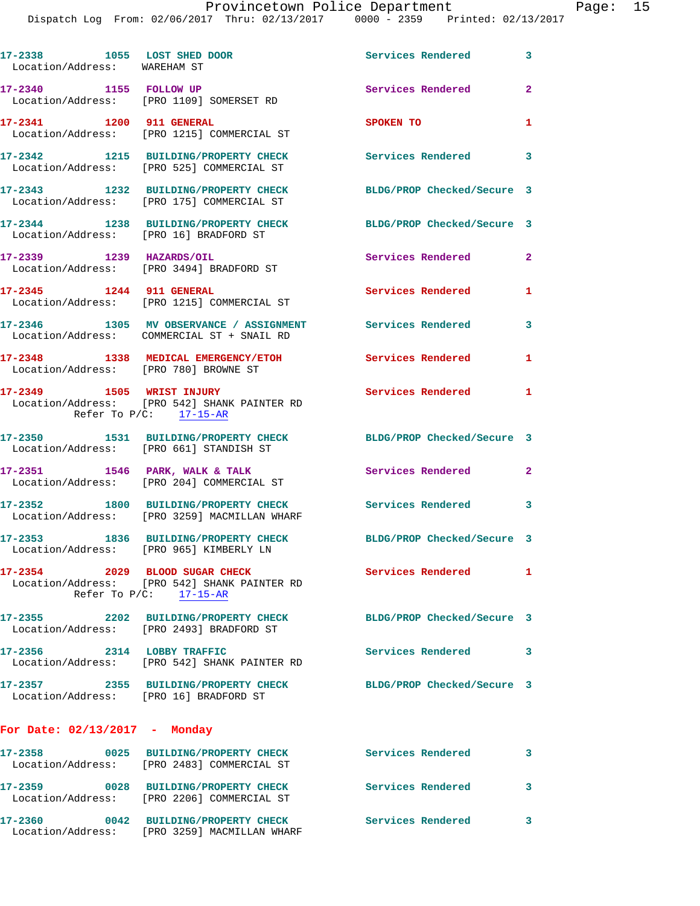Dispatch Log From: 02/06/2017 Thru: 02/13/2017 0000 - 2359 Printed: 02/13/2017

| 17-2338 1055 LOST SHED DOOR<br>Location/Address: WAREHAM ST |                                                                                                             | Services Rendered 3        |                         |
|-------------------------------------------------------------|-------------------------------------------------------------------------------------------------------------|----------------------------|-------------------------|
| 17-2340 1155 FOLLOW UP                                      | Location/Address: [PRO 1109] SOMERSET RD                                                                    | Services Rendered          | $\mathbf{2}$            |
| 17-2341 1200 911 GENERAL                                    | Location/Address: [PRO 1215] COMMERCIAL ST                                                                  | SPOKEN TO                  | -1                      |
|                                                             | 17-2342 1215 BUILDING/PROPERTY CHECK<br>Location/Address: [PRO 525] COMMERCIAL ST                           | Services Rendered 3        |                         |
|                                                             | 17-2343 1232 BUILDING/PROPERTY CHECK<br>Location/Address: [PRO 175] COMMERCIAL ST                           | BLDG/PROP Checked/Secure 3 |                         |
| Location/Address: [PRO 16] BRADFORD ST                      | 17-2344 1238 BUILDING/PROPERTY CHECK                                                                        | BLDG/PROP Checked/Secure 3 |                         |
| 17-2339 1239 HAZARDS/OIL                                    | Location/Address: [PRO 3494] BRADFORD ST                                                                    | Services Rendered          | $\mathbf{2}$            |
| 17-2345 1244 911 GENERAL                                    | Location/Address: [PRO 1215] COMMERCIAL ST                                                                  | <b>Services Rendered</b>   | $\blacksquare$          |
|                                                             | 17-2346 1305 MV OBSERVANCE / ASSIGNMENT Services Rendered<br>Location/Address: COMMERCIAL ST + SNAIL RD     |                            | $\overline{\mathbf{3}}$ |
| Location/Address: [PRO 780] BROWNE ST                       | 17-2348 1338 MEDICAL EMERGENCY/ETOH                                                                         | Services Rendered 1        |                         |
|                                                             | 17-2349 1505 WRIST INJURY<br>Location/Address: [PRO 542] SHANK PAINTER RD<br>Refer To $P/C$ : 17-15-AR      | <b>Services Rendered</b> 1 |                         |
|                                                             | 17-2350 1531 BUILDING/PROPERTY CHECK<br>Location/Address: [PRO 661] STANDISH ST                             | BLDG/PROP Checked/Secure 3 |                         |
|                                                             | 17-2351 1546 PARK, WALK & TALK<br>Location/Address: [PRO 204] COMMERCIAL ST                                 | Services Rendered          | $\mathbf{2}$            |
|                                                             | 17-2352 1800 BUILDING/PROPERTY CHECK<br>Location/Address: [PRO 3259] MACMILLAN WHARF                        | Services Rendered 3        |                         |
|                                                             | 17-2353 1836 BUILDING/PROPERTY CHECK BLDG/PROP Checked/Secure 3<br>Location/Address: [PRO 965] KIMBERLY LN  |                            |                         |
|                                                             | 17-2354 2029 BLOOD SUGAR CHECK<br>Location/Address: [PRO 542] SHANK PAINTER RD<br>Refer To $P/C$ : 17-15-AR | Services Rendered 1        |                         |
|                                                             | 17-2355 2202 BUILDING/PROPERTY CHECK<br>Location/Address: [PRO 2493] BRADFORD ST                            | BLDG/PROP Checked/Secure 3 |                         |
| 17-2356 2314 LOBBY TRAFFIC                                  | Location/Address: [PRO 542] SHANK PAINTER RD                                                                | Services Rendered 3        |                         |
| Location/Address: [PRO 16] BRADFORD ST                      | 17-2357 2355 BUILDING/PROPERTY CHECK                                                                        | BLDG/PROP Checked/Secure 3 |                         |
| For Date: 02/13/2017 - Monday                               |                                                                                                             |                            |                         |
|                                                             | 17-2358 0025 BUILDING/PROPERTY CHECK<br>Location/Address: [PRO 2483] COMMERCIAL ST                          | <b>Services Rendered</b>   | 3                       |
|                                                             | 17-2359 0028 BUILDING/PROPERTY CHECK<br>Location/Address: [PRO 2206] COMMERCIAL ST                          | Services Rendered          | 3                       |
|                                                             | 17-2360 0042 BUILDING/PROPERTY CHECK<br>Location/Address: [PRO 3259] MACMILLAN WHARF                        | Services Rendered 3        |                         |